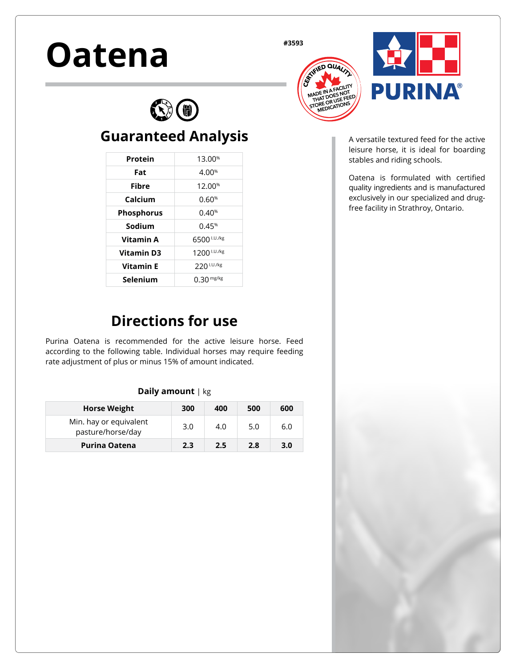# Oatena **#3593**





A versatile textured feed for the active leisure horse, it is ideal for boarding stables and riding schools.

Oatena is formulated with certified quality ingredients and is manufactured exclusively in our specialized and drugfree facility in Strathroy, Ontario.

## **Directions for use**

**Guaranteed Analysis**

6

**Protein** 13.00<sup>%</sup> **Fat** 4.00% **Fibre** 12.00% **Calcium** 0.60<sup>%</sup> **Phosphorus** 0.40<sup>%</sup> **Sodium** 0.45% **Vitamin A** 6500 **I.U./kg Vitamin D3** 1200 I.U./kg **Vitamin E** 220 I.U./kg Selenium 0.30 mg/kg

Purina Oatena is recommended for the active leisure horse. Feed according to the following table. Individual horses may require feeding rate adjustment of plus or minus 15% of amount indicated.

#### **Daily amount** | kg

| <b>Horse Weight</b>                         | 300 | 400 | 500 | 600 |
|---------------------------------------------|-----|-----|-----|-----|
| Min. hay or equivalent<br>pasture/horse/day | 3.0 | 4.0 | 5.0 | 6.0 |
| <b>Purina Oatena</b>                        | 2.3 | 2.5 | 2.8 | 3.0 |